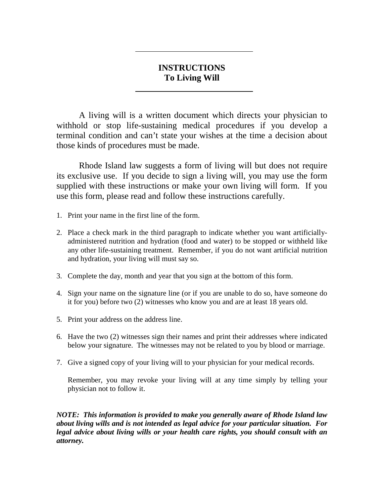### **INSTRUCTIONS To Living Will**

A living will is a written document which directs your physician to withhold or stop life-sustaining medical procedures if you develop a terminal condition and can't state your wishes at the time a decision about those kinds of procedures must be made.

Rhode Island law suggests a form of living will but does not require its exclusive use. If you decide to sign a living will, you may use the form supplied with these instructions or make your own living will form. If you use this form, please read and follow these instructions carefully.

- 1. Print your name in the first line of the form.
- 2. Place a check mark in the third paragraph to indicate whether you want artificiallyadministered nutrition and hydration (food and water) to be stopped or withheld like any other life-sustaining treatment. Remember, if you do not want artificial nutrition and hydration, your living will must say so.
- 3. Complete the day, month and year that you sign at the bottom of this form.
- 4. Sign your name on the signature line (or if you are unable to do so, have someone do it for you) before two (2) witnesses who know you and are at least 18 years old.
- 5. Print your address on the address line.
- 6. Have the two (2) witnesses sign their names and print their addresses where indicated below your signature. The witnesses may not be related to you by blood or marriage.
- 7. Give a signed copy of your living will to your physician for your medical records.

Remember, you may revoke your living will at any time simply by telling your physician not to follow it.

*NOTE: This information is provided to make you generally aware of Rhode Island law about living wills and is not intended as legal advice for your particular situation. For legal advice about living wills or your health care rights, you should consult with an attorney.*